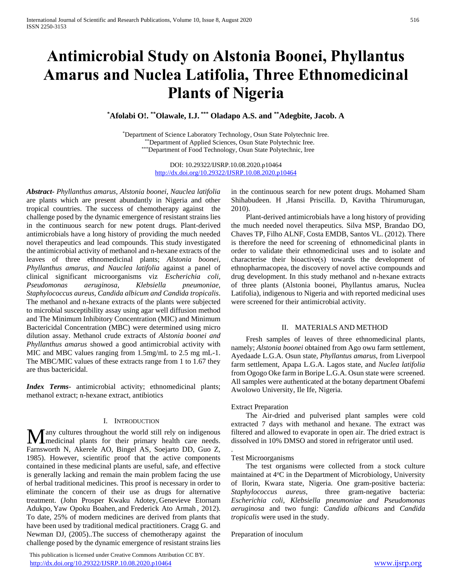# **Antimicrobial Study on Alstonia Boonei, Phyllantus Amarus and Nuclea Latifolia, Three Ethnomedicinal Plants of Nigeria**

**\*Afolabi O!. \*\*Olawale, I.J. \*\*\* Oladapo A.S. and \*\*Adegbite, Jacob. A** 

\*Department of Science Laboratory Technology, Osun State Polytechnic Iree. \*\*Department of Applied Sciences, Osun State Polytechnic Iree. \*\*\*Department of Food Technology, Osun State Polytechnic, Iree

> DOI: 10.29322/IJSRP.10.08.2020.p10464 <http://dx.doi.org/10.29322/IJSRP.10.08.2020.p10464>

*Abstract***-** *Phyllanthus amarus, Alstonia boonei, Nauclea latifolia* are plants which are present abundantly in Nigeria and other tropical countries. The success of chemotherapy against the challenge posed by the dynamic emergence of resistant strains lies in the continuous search for new potent drugs. Plant-derived antimicrobials have a long history of providing the much needed novel therapeutics and lead compounds. This study investigated the antimicrobial activity of methanol and n-hexane extracts of the leaves of three ethnomedicinal plants; *Alstonia boonei, Phyllanthus amarus, and Nauclea latifolia* against a panel of clinical significant microorganisms viz *Escherichia coli, Pseudomonas aeruginosa, Klebsiella pneumoniae, Staphylococcus aureus, Candida albicum and Candida tropicalis*. The methanol and n-hexane extracts of the plants were subjected to microbial susceptibility assay using agar well diffusion method and The Minimum Inhibitory Concentration (MIC) and Minimum Bactericidal Concentration (MBC) were determined using micro dilution assay. Methanol crude extracts of *Alstonia boonei and Phyllanthus amarus* showed a good antimicrobial activity with MIC and MBC values ranging from 1.5mg/mL to 2.5 mg mL-1. The MBC/MIC values of these extracts range from 1 to 1.67 they are thus bactericidal.

*Index Terms*- antimicrobial activity; ethnomedicinal plants; methanol extract; n-hexane extract, antibiotics

#### I. INTRODUCTION

any cultures throughout the world still rely on indigenous Many cultures throughout the world still rely on indigenous medicinal plants for their primary health care needs. Farnsworth N, Akerele AO, Bingel AS, Soejarto DD, Guo Z, 1985). However, scientific proof that the active components contained in these medicinal plants are useful, safe, and effective is generally lacking and remain the main problem facing the use of herbal traditional medicines. This proof is necessary in order to eliminate the concern of their use as drugs for alternative treatment. (John Prosper Kwaku Adotey, Genevieve Etornam Adukpo, Yaw Opoku Boahen, and Frederick Ato Armah , 2012). To date, 25% of modern medicines are derived from plants that have been used by traditional medical practitioners. Cragg G. and Newman DJ, (2005)..The success of chemotherapy against the challenge posed by the dynamic emergence of resistant strains lies

 This publication is licensed under Creative Commons Attribution CC BY. <http://dx.doi.org/10.29322/IJSRP.10.08.2020.p10464> [www.ijsrp.org](http://ijsrp.org/)

in the continuous search for new potent drugs. Mohamed Sham Shihabudeen. H ,Hansi Priscilla. D, Kavitha Thirumurugan, 2010).

 Plant-derived antimicrobials have a long history of providing the much needed novel therapeutics. Silva MSP, Brandao DO, Chaves TP, Filho ALNF, Costa EMDB, Santos VL. (2012). There is therefore the need for screening of ethnomedicinal plants in order to validate their ethnomedicinal uses and to isolate and characterise their bioactive(s) towards the development of ethnopharmacopea, the discovery of novel active compounds and drug development. In this study methanol and n-hexane extracts of three plants (Alstonia boonei, Phyllantus amarus, Nuclea Latifolia), indigenous to Nigeria and with reported medicinal uses were screened for their antimicrobial activity.

# II. MATERIALS AND METHOD

 Fresh samples of leaves of three ethnomedicinal plants, namely; *Alstonia boonei* obtained from Ago owu farm settlement, Ayedaade L.G.A. Osun state, *Phyllantus amarus*, from Liverpool farm settlement, Apapa L.G.A. Lagos state, and *Nuclea latifolia*  from Ogogo Oke farm in Boripe L.G.A. Osun state were screened. All samples were authenticated at the botany department Obafemi Awolowo University, Ile Ife, Nigeria.

#### Extract Preparation

 The Air-dried and pulverised plant samples were cold extracted 7 days with methanol and hexane. The extract was filtered and allowed to evaporate in open air. The dried extract is dissolved in 10% DMSO and stored in refrigerator until used.

#### Test Microorganisms

.

 The test organisms were collected from a stock culture maintained at 4°C in the Department of Microbiology, University of Ilorin, Kwara state, Nigeria. One gram-positive bacteria: *Staphylococcus aureus*, three gram-negative bacteria: *Escherichia coli, Klebsiella pneumoniae and Pseudomonas aeruginosa* and two fungi: *Candida albicans* and *Candida tropicalis* were used in the study.

Preparation of inoculum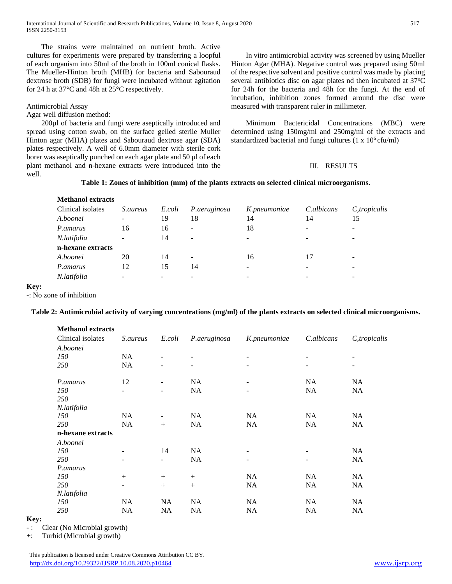The strains were maintained on nutrient broth. Active cultures for experiments were prepared by transferring a loopful of each organism into 50ml of the broth in 100ml conical flasks. The Mueller-Hinton broth (MHB) for bacteria and Sabouraud dextrose broth (SDB) for fungi were incubated without agitation for 24 h at 37°C and 48h at 25°C respectively.

# Antimicrobial Assay

Agar well diffusion method:

**Methanol extracts**

 200µl of bacteria and fungi were aseptically introduced and spread using cotton swab, on the surface gelled sterile Muller Hinton agar (MHA) plates and Sabouraud dextrose agar (SDA) plates respectively. A well of 6.0mm diameter with sterile cork borer was aseptically punched on each agar plate and 50 µl of each plant methanol and n-hexane extracts were introduced into the well.

 In vitro antimicrobial activity was screened by using Mueller Hinton Agar (MHA). Negative control was prepared using 50ml of the respective solvent and positive control was made by placing several antibiotics disc on agar plates nd then incubated at  $37^{\circ}$ C for 24h for the bacteria and 48h for the fungi. At the end of incubation, inhibition zones formed around the disc were measured with transparent ruler in millimeter.

 Minimum Bactericidal Concentrations (MBC) were determined using 150mg/ml and 250mg/ml of the extracts and standardized bacterial and fungi cultures (1 x 10<sup>6</sup> cfu/ml)

# III. RESULTS

# **Table 1: Zones of inhibition (mm) of the plants extracts on selected clinical microorganisms.**

| <b>Methanol extracts</b> |                 |        |                          |              |            |                          |
|--------------------------|-----------------|--------|--------------------------|--------------|------------|--------------------------|
| Clinical isolates        | <i>S.aureus</i> | E.coli | P.aeruginosa             | K.pneumoniae | C.albicans | C, tropicalis            |
| A.boonei                 |                 | 19     | 18                       | 14           | 14         | 15                       |
| P.amarus                 | 16              | 16     | -                        | 18           |            |                          |
| N.latifolia              | -               | 14     | $\overline{\phantom{a}}$ |              |            | $\overline{\phantom{0}}$ |
| n-hexane extracts        |                 |        |                          |              |            |                          |
| A.boonei                 | 20              | 14     | $\overline{\phantom{a}}$ | 16           | 17         | $\overline{\phantom{0}}$ |
| P.amarus                 | 12              | 15     | 14                       | -            |            | $\overline{\phantom{0}}$ |
| N.latifolia              |                 |        |                          |              |            |                          |
|                          |                 |        |                          |              |            |                          |

#### **Key:**

-: No zone of inhibition

# **Table 2: Antimicrobial activity of varying concentrations (mg/ml) of the plants extracts on selected clinical microorganisms.**

| <b>Methanol extracts</b> |                 |                          |              |                          |            |              |
|--------------------------|-----------------|--------------------------|--------------|--------------------------|------------|--------------|
| Clinical isolates        | <i>S.aureus</i> | E.coli                   | P.aeruginosa | K.pneumoniae             | C.albicans | C,tropicalis |
| A.boonei                 |                 |                          |              |                          |            |              |
| 150                      | <b>NA</b>       | $\overline{\phantom{a}}$ |              | $\overline{\phantom{a}}$ |            |              |
| 250                      | NA              |                          | -            | -                        |            |              |
| P.amarus                 | 12              | $\overline{\phantom{a}}$ | NA.          | $\overline{\phantom{a}}$ | NA.        | NA           |
| 150                      | L,              | $\overline{\phantom{0}}$ | NA           | -                        | <b>NA</b>  | NA           |
| 250                      |                 |                          |              |                          |            |              |
| N.latifolia              |                 |                          |              |                          |            |              |
| 150                      | <b>NA</b>       | $\overline{\phantom{0}}$ | NA           | NA                       | <b>NA</b>  | NA           |
| 250                      | NA              | $^{+}$                   | NA           | NA                       | <b>NA</b>  | NA           |
| n-hexane extracts        |                 |                          |              |                          |            |              |
| A.boonei                 |                 |                          |              |                          |            |              |
| 150                      |                 | 14                       | NA           |                          |            | NA           |
| 250                      |                 |                          | NA           |                          |            | NA           |
| P.amarus                 |                 |                          |              |                          |            |              |
| 150                      | $+$             | $^{+}$                   | $^{+}$       | NA                       | NA.        | NA           |
| 250                      | ۳               | $+$                      | $+$          | NA                       | <b>NA</b>  | NA           |
| N.latifolia              |                 |                          |              |                          |            |              |
| 150                      | NA              | NA                       | NA           | NA                       | NA         | NA           |
| 250                      | <b>NA</b>       | NA                       | NA           | NA                       | <b>NA</b>  | <b>NA</b>    |

#### **Key:**

-: Clear (No Microbial growth)

+: Turbid (Microbial growth)

 This publication is licensed under Creative Commons Attribution CC BY. <http://dx.doi.org/10.29322/IJSRP.10.08.2020.p10464> [www.ijsrp.org](http://ijsrp.org/)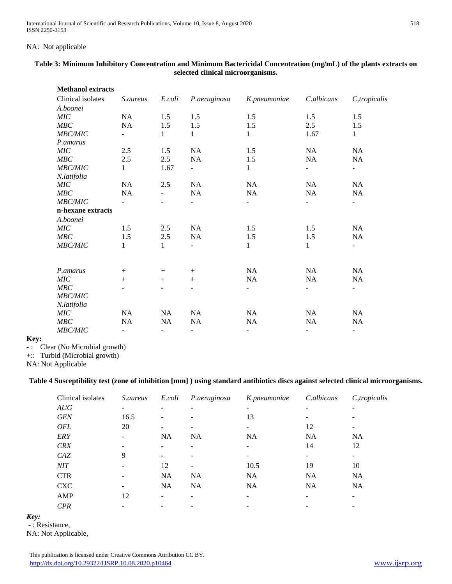# NA: Not applicable

| <b>Methanol extracts</b> |                          |                          |                          |              |                          |                          |
|--------------------------|--------------------------|--------------------------|--------------------------|--------------|--------------------------|--------------------------|
| Clinical isolates        | <i>S.aureus</i>          | E.coli                   | P.aeruginosa             | K.pneumoniae | C.albicans               | C,tropicalis             |
| A.boonei                 |                          |                          |                          |              |                          |                          |
| MIC                      | <b>NA</b>                | 1.5                      | 1.5                      | 1.5          | 1.5                      | 1.5                      |
| MBC                      | $\rm NA$                 | 1.5                      | 1.5                      | 1.5          | 2.5                      | 1.5                      |
| <b>MBC/MIC</b>           |                          | $\mathbf{1}$             | 1                        | $\mathbf{1}$ | 1.67                     | $\mathbf{1}$             |
| P.amarus                 |                          |                          |                          |              |                          |                          |
| MIC                      | 2.5                      | 1.5                      | NA                       | 1.5          | NA                       | NA                       |
| MBC                      | $2.5\,$                  | 2.5                      | NA                       | 1.5          | NA                       | NA                       |
| <b>MBC/MIC</b>           | 1                        | 1.67                     | $\overline{\phantom{0}}$ | 1            | $\overline{\phantom{a}}$ | $\overline{\phantom{0}}$ |
| N.latifolia              |                          |                          |                          |              |                          |                          |
| MIC                      | NA                       | 2.5                      | NA                       | NA           | NA                       | NA                       |
| MBC                      | NA                       | $\blacksquare$           | <b>NA</b>                | NA           | NA                       | NA                       |
| <b>MBC/MIC</b>           |                          |                          |                          |              | $\overline{\phantom{a}}$ | $\overline{\phantom{0}}$ |
| n-hexane extracts        |                          |                          |                          |              |                          |                          |
| A.boonei                 |                          |                          |                          |              |                          |                          |
| <b>MIC</b>               | 1.5                      | 2.5                      | NA                       | 1.5          | 1.5                      | NA                       |
| MBC                      | 1.5                      | 2.5                      | NA                       | 1.5          | 1.5                      | NA                       |
| <b>MBC/MIC</b>           | 1                        | $\mathbf{1}$             |                          | 1            | 1                        | $\overline{\phantom{0}}$ |
|                          |                          |                          |                          |              |                          |                          |
|                          |                          |                          |                          |              |                          |                          |
| P.amarus<br>MIC          | $+$<br>$+$               | $^{+}$                   | $+$<br>$+$               | NA<br>NA     | NA<br><b>NA</b>          | NA<br>NA                 |
| MBC                      |                          | $^{+}$                   |                          |              |                          |                          |
| MBC/MIC                  |                          |                          |                          |              | $\overline{\phantom{a}}$ | $\overline{\phantom{0}}$ |
|                          |                          |                          |                          |              |                          |                          |
| N.latifolia<br>MIC       | NA                       | NA                       | NA                       | NA           | NA                       | NA                       |
| MBC                      | NA                       | NA                       | NA                       | $\rm NA$     | NA                       | NA                       |
| <b>MBC/MIC</b>           | $\overline{\phantom{0}}$ | $\overline{\phantom{a}}$ | $\overline{\phantom{a}}$ | ۰            | $\overline{\phantom{a}}$ | $\overline{\phantom{0}}$ |
|                          |                          |                          |                          |              |                          |                          |

# **Table 3: Minimum Inhibitory Concentration and Minimum Bactericidal Concentration (mg/mL) of the plants extracts on selected clinical microorganisms.**

**Key:**

-: Clear (No Microbial growth)

+:: Turbid (Microbial growth)

NA: Not Applicable

# **Table 4 Susceptibility test (zone of inhibition [mm] ) using standard antibiotics discs against selected clinical microorganisms.**

| Clinical isolates | <i>S.aureus</i> | E.coli    | P.aeruginosa | K.pneumoniae | C.albicans | C, tropicalis |
|-------------------|-----------------|-----------|--------------|--------------|------------|---------------|
| AUG               |                 |           |              | -            |            |               |
| <b>GEN</b>        | 16.5            | -         |              | 13           |            |               |
| <b>OFL</b>        | 20              |           |              |              | 12         |               |
| <b>ERY</b>        |                 | <b>NA</b> | <b>NA</b>    | <b>NA</b>    | <b>NA</b>  | <b>NA</b>     |
| <b>CRX</b>        |                 |           |              |              | 14         | 12            |
| CAZ               | 9               |           |              |              |            |               |
| NIT               |                 | 12        |              | 10.5         | 19         | 10            |
| <b>CTR</b>        |                 | <b>NA</b> | <b>NA</b>    | <b>NA</b>    | <b>NA</b>  | <b>NA</b>     |
| <b>CXC</b>        |                 | <b>NA</b> | <b>NA</b>    | <b>NA</b>    | <b>NA</b>  | <b>NA</b>     |
| AMP               | 12              |           |              |              |            |               |
| <b>CPR</b>        |                 |           |              |              |            |               |

*Key:*

- : Resistance,

NA: Not Applicable,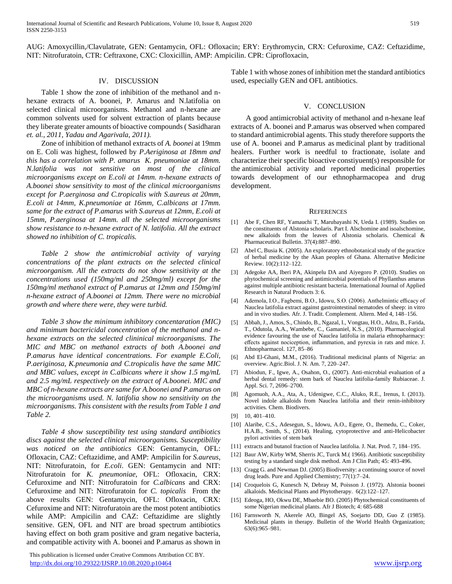AUG: Amoxycillin,/Clavulatrate, GEN: Gentamycin, OFL: Ofloxacin; ERY: Erythromycin, CRX: Cefuroxime, CAZ: Ceftazidime, NIT: Nitrofuratoin, CTR: Ceftraxone, CXC: Cloxicillin, AMP: Ampicilin. CPR: Ciprofloxacin,

#### IV. DISCUSSION

 Table 1 show the zone of inhibition of the methanol and nhexane extracts of A. boonei, P. Amarus and N.latifolia on selected clinical microorganisms. Methanol and n-hexane are common solvents used for solvent extraction of plants because they liberate greater amounts of bioactive compounds ( Sasidharan *et. al., 2011, Yadau and Agarivala, 2011).*

 Zone of inhibition of methanol extracts of *A. boonei* at 19mm on E. Coli was highest, followed by *P.Aeriginosa at 18mm and this has a correlation with P. amarus K. pneumoniae at 18mm. N.latifolia was not sensitive on most of the clinical microorganisms except on E.coli at 14mm. n-hexane extracts of A.boonei show sensitivity to most of the clinical microorganisms except for P.aerginosa and C.tropicalis with S.aureus at 20mm, E.coli at 14mm, K.pneumoniae at 16mm, C.albicans at 17mm. same for the extract of P.amarus with S.aureus at 12mm, E.coli at 15mm, P.aerginosa at 14mm. all the selected microorganisms show resistance to n-hexane extract of N. latifolia. All the extract showed no inhibition of C. tropicalis.*

 *Table 2 show the antimicrobial activity of varying concentrations of the plant extracts on the selected clinical microorganism. All the extracts do not show sensitivity at the concentrations used (150mg/ml and 250mg/ml) except for the 150mg/ml methanol extract of P.amarus at 12mm and 150mg/ml n-hexane extract of A.boonei at 12mm. There were no microbial growth and where there were, they were turbid.*

 *Table 3 show the minimum inhibitory concentaration (MIC) and minimum bactericidal concentration of the methanol and nhexane extracts on the selected clininical microorganisms. The MIC and MBC on methanol extracts of both A.boonei and P.amarus have identical concentrations. For example E.Coli, P.aeriginosa, K.pneumonia and C.tropicalis have the same MIC and MBC values, except in C.albicans where it show 1.5 mg/mL and 2.5 mg/mL respectively on the extract of A.boonei. MIC and MBC of n-hexane extracts are same for A.boonei and P.amarus on the microorganisms used. N. latifolia show no sensitivity on the microorganisms. This consistent with the results from Table 1 and Table 2.*

 *Table 4 show susceptibility test using standard antibiotics discs against the selected clinical microorganisms. Susceptibility was noticed on the antibiotics* GEN: Gentamycin, OFL: Ofloxacin, CAZ: Ceftazidime, and AMP: Ampicilin for *S.aureus*, NIT: Nitrofuratoin, for *E.coli*. GEN: Gentamycin and NIT: Nitrofuratoin for *K. pneumoniae*, OFL: Ofloxacin, CRX: Cefuroxime and NIT: Nitrofuratoin for *C.albicans* and CRX: Cefuroxime and NIT: Nitrofuratoin for *C. topicalis* From the above results GEN: Gentamycin, OFL: Ofloxacin, CRX: Cefuroxime and NIT: Nitrofuratoin are the most potent antibiotics while AMP: Ampicilin and CAZ: Ceftazidime are slightly sensitive. GEN, OFL and NIT are broad spectrum antibiotics having effect on both gram positive and gram negative bacteria, and compatible activity with A. boonei and P.amarus as shown in

 This publication is licensed under Creative Commons Attribution CC BY. <http://dx.doi.org/10.29322/IJSRP.10.08.2020.p10464> [www.ijsrp.org](http://ijsrp.org/)

Table 1 with whose zones of inhibition met the standard antibiotics used, especially GEN and OFL antibiotics.

#### V. CONCLUSION

 A good antimicrobial activity of methanol and n-hexane leaf extracts of A. boonei and P.amarus was observed when compared to standard antimicrobial agents. This study therefore supports the use of A. boonei and P.amarus as medicinal plant by traditional healers. Further work is needful to fractionate, isolate and characterize their specific bioactive constiyuent(s) responsible for the antimicrobial activity and reported medicinal properties towards development of our ethnopharmacopea and drug development.

#### **REFERENCES**

- [1] Abe F, Chen RF, Yamauchi T, Marubayashi N, Ueda I. (1989). Studies on the constituents of Alstonia scholaris. Part I. Alschomine and isoalschomine, new alkaloids from the leaves of Alstonia scholaris. Chemical & Pharmaceutical Bulletin. 37(4):887–890.
- [2] Abel C, Busia K. (2005). An exploratory ethnobotanical study of the practice of herbal medicine by the Akan peoples of Ghana. Alternative Medicine Review. 10(2):112–122.
- [3] Adegoke AA, Iberi PA, Akinpelu DA and Aiyegoro P. (2010). Studies on phytochemical screening and antimicrobial potentials of Phyllanthus amarus against multiple antibiotic resistant bacteria. International Journal of Applied Research in Natural Products 3: 6.
- [4] Ademola, I.O., Fagbemi, B.O., Idowu, S.O. (2006). Anthelmintic efficacy of Nauclea latifolia extract against gastrointestinal nematodes of sheep: in vitro and in vivo studies. Afr. J. Tradit. Complement. Altern. Med 4, 148–156.
- [5] Abbah, J., Amos, S., Chindo, B., Ngazal, I., Vongtau, H.O., Adzu, B., Farida, T., Odutola, A.A., Wambebe, C., Gamaniel, K.S., (2010). Pharmacological evidence favouring the use of Nauclea latifolia in malaria ethnopharmacy: effects against nociception, inflammation, and pyrexia in rats and mice. J. Ethnopharmacol. 127, 85–86
- [6] Abd El-Ghani, M.M., (2016). Traditional medicinal plants of Nigeria: an overview. Agric.Biol. J. N. Am. 7, 220–247.
- [7] Abiodun, F., Igwe, A., Osahon, O., (2007). Anti-microbial evaluation of a herbal dental remedy: stem bark of Nauclea latifolia-family Rubiaceae. J. Appl. Sci. 7, 2696–2700.
- [8] Agomuoh, A.A., Ata, A., Udenigwe, C.C., Aluko, R.E., Irenus, I. (2013). Novel indole alkaloids from Nauclea latifolia and their renin-inhibitory activities. Chem. Biodivers.
- [9] 10, 401–410.
- [10] Alaribe, C.S., Adesegun, S., Idowu, A.O., Egere, O., Ihemedu, C., Coker, H.A.B., Smith, S., (2014). Healing, cytoprotective and anti-Helicobacter pylori activities of stem bark
- [11] extracts and butanol fraction of Nauclea latifolia. J. Nat. Prod. 7, 184–195.
- [12] Baur AW, Kirby WM, Sherris JC, Turck M.( 1966). Antibiotic susceptibility testing by a standard single disk method. Am J Clin Path; 45: 493-496.
- [13] Cragg G. and Newman DJ. (2005) Biodiversity: a continuing source of novel drug leads. Pure and Applied Chemistry; 77(1):7–24.
- [14] Croquelois G, Kunesch N, Debray M, Poisson J. (1972). Alstonia boonei alkaloids. Medicinal Plants and Phytotherapy. 6(2):122–127.
- [15] Edeoga, HO, Okwu DE, Mbaebie BO. (2005) Phytochemical constituents of some Nigerian medicinal plants. Afr J Biotech; 4: 685-688
- [16] Farnsworth N, Akerele AO, Bingel AS, Soejarto DD, Guo Z (1985). Medicinal plants in therapy. Bulletin of the World Health Organization; 63(6):965–981.